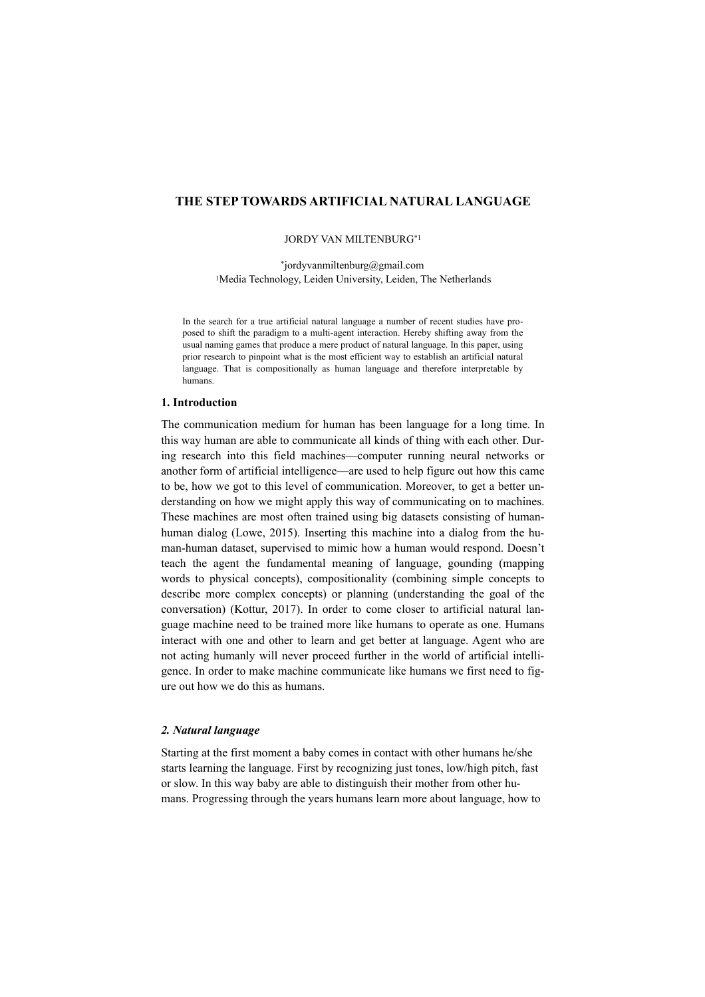# **THE STEP TOWARDS ARTIFICIAL NATURAL LANGUAGE**

#### JORDY VAN MILTENBURG\*1

\*jordyvanmiltenburg@gmail.com 1Media Technology, Leiden University, Leiden, The Netherlands

In the search for a true artificial natural language a number of recent studies have proposed to shift the paradigm to a multi-agent interaction. Hereby shifting away from the usual naming games that produce a mere product of natural language. In this paper, using prior research to pinpoint what is the most efficient way to establish an artificial natural language. That is compositionally as human language and therefore interpretable by humans.

#### **1. Introduction**

The communication medium for human has been language for a long time. In this way human are able to communicate all kinds of thing with each other. During research into this field machines—computer running neural networks or another form of artificial intelligence—are used to help figure out how this came to be, how we got to this level of communication. Moreover, to get a better understanding on how we might apply this way of communicating on to machines. These machines are most often trained using big datasets consisting of humanhuman dialog (Lowe, 2015). Inserting this machine into a dialog from the human-human dataset, supervised to mimic how a human would respond. Doesn't teach the agent the fundamental meaning of language, gounding (mapping words to physical concepts), compositionality (combining simple concepts to describe more complex concepts) or planning (understanding the goal of the conversation) (Kottur, 2017). In order to come closer to artificial natural language machine need to be trained more like humans to operate as one. Humans interact with one and other to learn and get better at language. Agent who are not acting humanly will never proceed further in the world of artificial intelligence. In order to make machine communicate like humans we first need to figure out how we do this as humans.

### *2. Natural language*

Starting at the first moment a baby comes in contact with other humans he/she starts learning the language. First by recognizing just tones, low/high pitch, fast or slow. In this way baby are able to distinguish their mother from other humans. Progressing through the years humans learn more about language, how to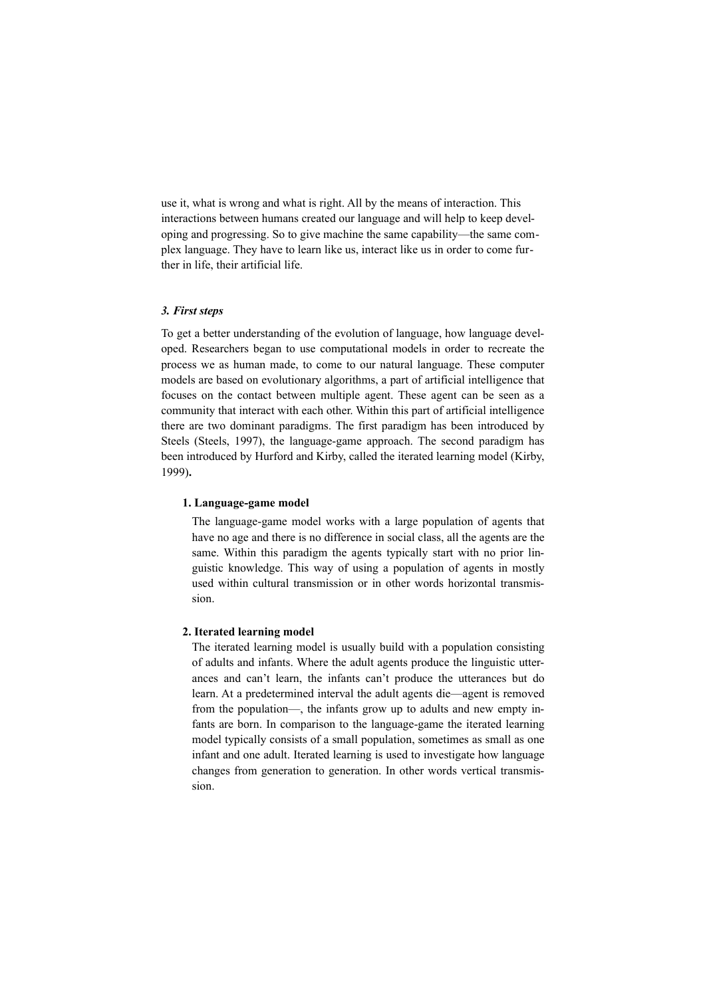use it, what is wrong and what is right. All by the means of interaction. This interactions between humans created our language and will help to keep developing and progressing. So to give machine the same capability—the same complex language. They have to learn like us, interact like us in order to come further in life, their artificial life.

### *3. First steps*

To get a better understanding of the evolution of language, how language developed. Researchers began to use computational models in order to recreate the process we as human made, to come to our natural language. These computer models are based on evolutionary algorithms, a part of artificial intelligence that focuses on the contact between multiple agent. These agent can be seen as a community that interact with each other. Within this part of artificial intelligence there are two dominant paradigms. The first paradigm has been introduced by Steels (Steels, 1997), the language-game approach. The second paradigm has been introduced by Hurford and Kirby, called the iterated learning model (Kirby, 1999)**.**

#### **1. Language-game model**

The language-game model works with a large population of agents that have no age and there is no difference in social class, all the agents are the same. Within this paradigm the agents typically start with no prior linguistic knowledge. This way of using a population of agents in mostly used within cultural transmission or in other words horizontal transmission.

# **2. Iterated learning model**

The iterated learning model is usually build with a population consisting of adults and infants. Where the adult agents produce the linguistic utterances and can't learn, the infants can't produce the utterances but do learn. At a predetermined interval the adult agents die—agent is removed from the population—, the infants grow up to adults and new empty infants are born. In comparison to the language-game the iterated learning model typically consists of a small population, sometimes as small as one infant and one adult. Iterated learning is used to investigate how language changes from generation to generation. In other words vertical transmission.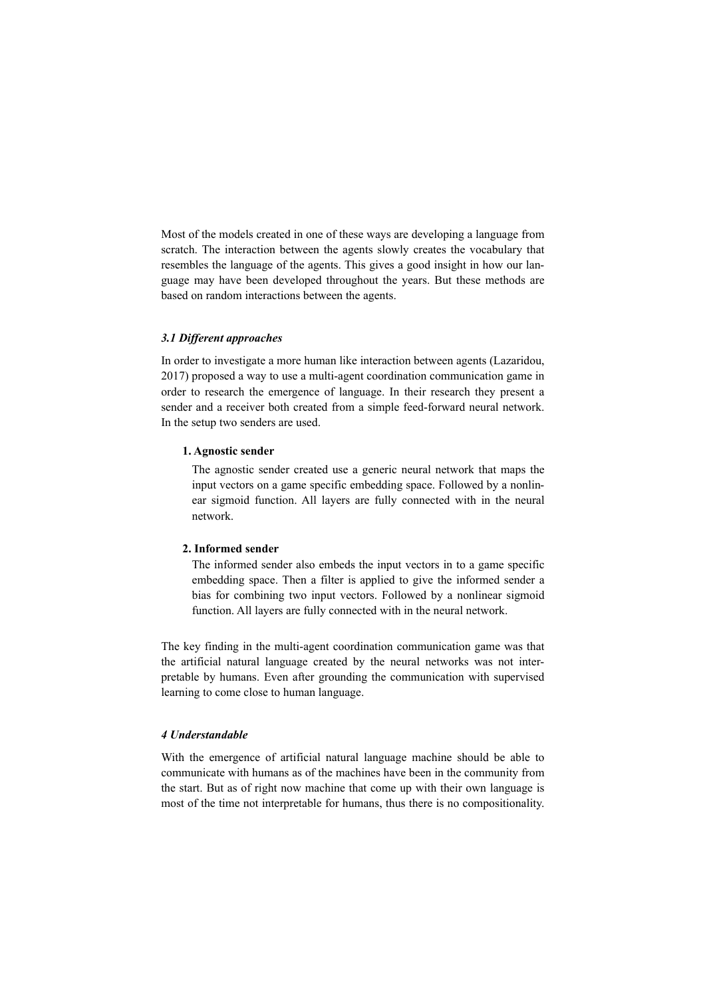Most of the models created in one of these ways are developing a language from scratch. The interaction between the agents slowly creates the vocabulary that resembles the language of the agents. This gives a good insight in how our language may have been developed throughout the years. But these methods are based on random interactions between the agents.

#### *3.1 Different approaches*

In order to investigate a more human like interaction between agents (Lazaridou, 2017) proposed a way to use a multi-agent coordination communication game in order to research the emergence of language. In their research they present a sender and a receiver both created from a simple feed-forward neural network. In the setup two senders are used.

### **1. Agnostic sender**

The agnostic sender created use a generic neural network that maps the input vectors on a game specific embedding space. Followed by a nonlinear sigmoid function. All layers are fully connected with in the neural network.

# **2. Informed sender**

The informed sender also embeds the input vectors in to a game specific embedding space. Then a filter is applied to give the informed sender a bias for combining two input vectors. Followed by a nonlinear sigmoid function. All layers are fully connected with in the neural network.

The key finding in the multi-agent coordination communication game was that the artificial natural language created by the neural networks was not interpretable by humans. Even after grounding the communication with supervised learning to come close to human language.

# *4 Understandable*

With the emergence of artificial natural language machine should be able to communicate with humans as of the machines have been in the community from the start. But as of right now machine that come up with their own language is most of the time not interpretable for humans, thus there is no compositionality.